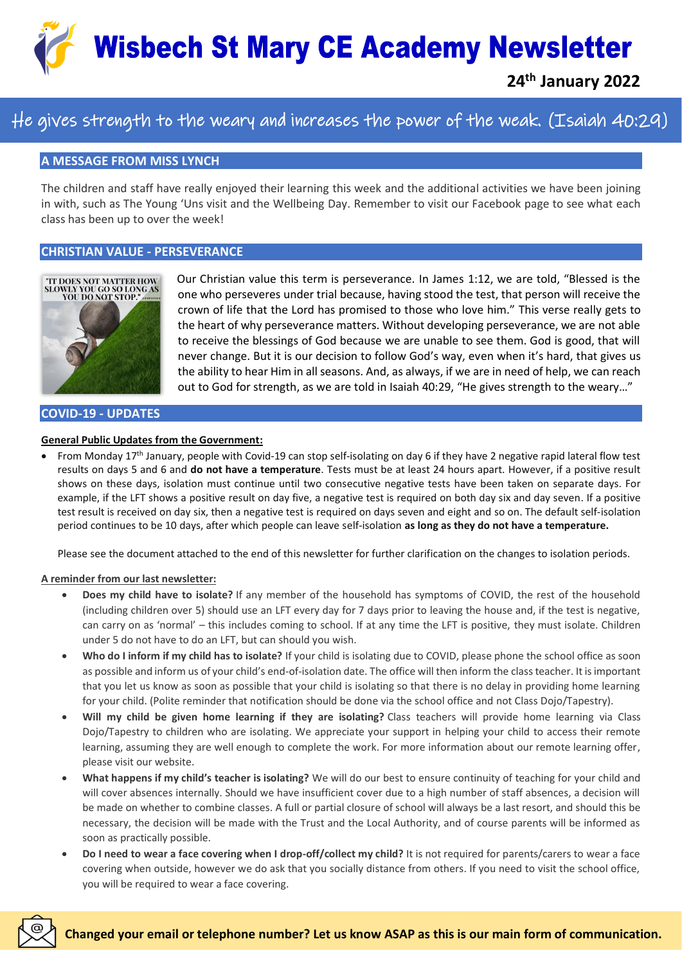

## He gives strength to the weary and increases the power of the weak. (Isaiah 40:29)

#### **A MESSAGE FROM MISS LYNCH**

The children and staff have really enjoyed their learning this week and the additional activities we have been joining in with, such as The Young 'Uns visit and the Wellbeing Day. Remember to visit our Facebook page to see what each class has been up to over the week!

#### **CHRISTIAN VALUE - PERSEVERANCE**



Our Christian value this term is perseverance. In James 1:12, we are told, "Blessed is the one who perseveres under trial because, having stood the test, that person will receive the crown of life that the Lord has promised to those who love him." This verse really gets to the heart of why perseverance matters. Without developing perseverance, we are not able to receive the blessings of God because we are unable to see them. God is good, that will never change. But it is our decision to follow God's way, even when it's hard, that gives us the ability to hear Him in all seasons. And, as always, if we are in need of help, we can reach out to God for strength, as we are told in Isaiah 40:29, "He gives strength to the weary…"

#### **COVID-19 - UPDATES**

#### **General Public Updates from the Government:**

• From Monday 17th January, people with Covid-19 can stop self-isolating on day 6 if they have 2 negative rapid lateral flow test results on days 5 and 6 and **do not have a temperature**. Tests must be at least 24 hours apart. However, if a positive result shows on these days, isolation must continue until two consecutive negative tests have been taken on separate days. For example, if the LFT shows a positive result on day five, a negative test is required on both day six and day seven. If a positive test result is received on day six, then a negative test is required on days seven and eight and so on. The default self-isolation period continues to be 10 days, after which people can leave self-isolation **as long as they do not have a temperature.**

Please see the document attached to the end of this newsletter for further clarification on the changes to isolation periods.

#### **A reminder from our last newsletter:**

- **Does my child have to isolate?** If any member of the household has symptoms of COVID, the rest of the household (including children over 5) should use an LFT every day for 7 days prior to leaving the house and, if the test is negative, can carry on as 'normal' – this includes coming to school. If at any time the LFT is positive, they must isolate. Children under 5 do not have to do an LFT, but can should you wish.
- **Who do I inform if my child has to isolate?** If your child is isolating due to COVID, please phone the school office as soon as possible and inform us of your child's end-of-isolation date. The office will then inform the class teacher. It is important that you let us know as soon as possible that your child is isolating so that there is no delay in providing home learning for your child. (Polite reminder that notification should be done via the school office and not Class Dojo/Tapestry).
- **Will my child be given home learning if they are isolating?** Class teachers will provide home learning via Class Dojo/Tapestry to children who are isolating. We appreciate your support in helping your child to access their remote learning, assuming they are well enough to complete the work. For more information about our remote learning offer, please visit our website.
- **What happens if my child's teacher is isolating?** We will do our best to ensure continuity of teaching for your child and will cover absences internally. Should we have insufficient cover due to a high number of staff absences, a decision will be made on whether to combine classes. A full or partial closure of school will always be a last resort, and should this be necessary, the decision will be made with the Trust and the Local Authority, and of course parents will be informed as soon as practically possible.
- **Do I need to wear a face covering when I drop-off/collect my child?** It is not required for parents/carers to wear a face covering when outside, however we do ask that you socially distance from others. If you need to visit the school office, you will be required to wear a face covering.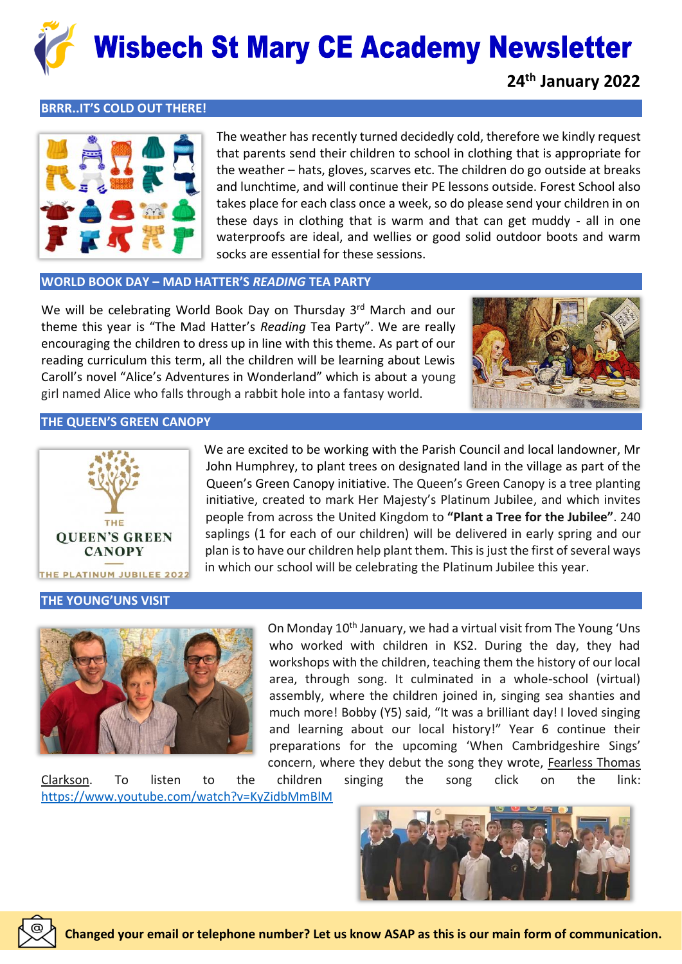

#### **BRRR..IT'S COLD OUT THERE!**



The weather has recently turned decidedly cold, therefore we kindly request that parents send their children to school in clothing that is appropriate for the weather – hats, gloves, scarves etc. The children do go outside at breaks and lunchtime, and will continue their PE lessons outside. Forest School also takes place for each class once a week, so do please send your children in on these days in clothing that is warm and that can get muddy - all in one waterproofs are ideal, and wellies or good solid outdoor boots and warm socks are essential for these sessions.

#### **WORLD BOOK DAY – MAD HATTER'S** *READING* **TEA PARTY**

We will be celebrating World Book Day on Thursday 3rd March and our theme this year is "The Mad Hatter's *Reading* Tea Party". We are really encouraging the children to dress up in line with this theme. As part of our reading curriculum this term, all the children will be learning about Lewis Caroll's novel "Alice's Adventures in Wonderland" which is about a young girl named Alice who falls through a rabbit hole into a fantasy world.



#### **THE QUEEN'S GREEN CANOPY**



### John Humphrey, to plant trees on designated land in the village as part of the Queen's Green Canopy initiative. The Queen's Green Canopy is a tree planting initiative, created to mark Her Majesty's Platinum Jubilee, and which invites people from across the United Kingdom to **"Plant a Tree for the Jubilee"**. 240 saplings (1 for each of our children) will be delivered in early spring and our plan is to have our children help plant them. This is just the first of several ways in which our school will be celebrating the Platinum Jubilee this year.

We are excited to be working with the Parish Council and local landowner, Mr

#### **THE YOUNG'UNS VISIT**



On Monday 10<sup>th</sup> January, we had a virtual visit from The Young 'Uns who worked with children in KS2. During the day, they had workshops with the children, teaching them the history of our local area, through song. It culminated in a whole-school (virtual) assembly, where the children joined in, singing sea shanties and much more! Bobby (Y5) said, "It was a brilliant day! I loved singing and learning about our local history!" Year 6 continue their preparations for the upcoming 'When Cambridgeshire Sings' concern, where they debut the song they wrote, Fearless Thomas

Clarkson. To listen to the children singing the song click on the link: <https://www.youtube.com/watch?v=KyZidbMmBlM>

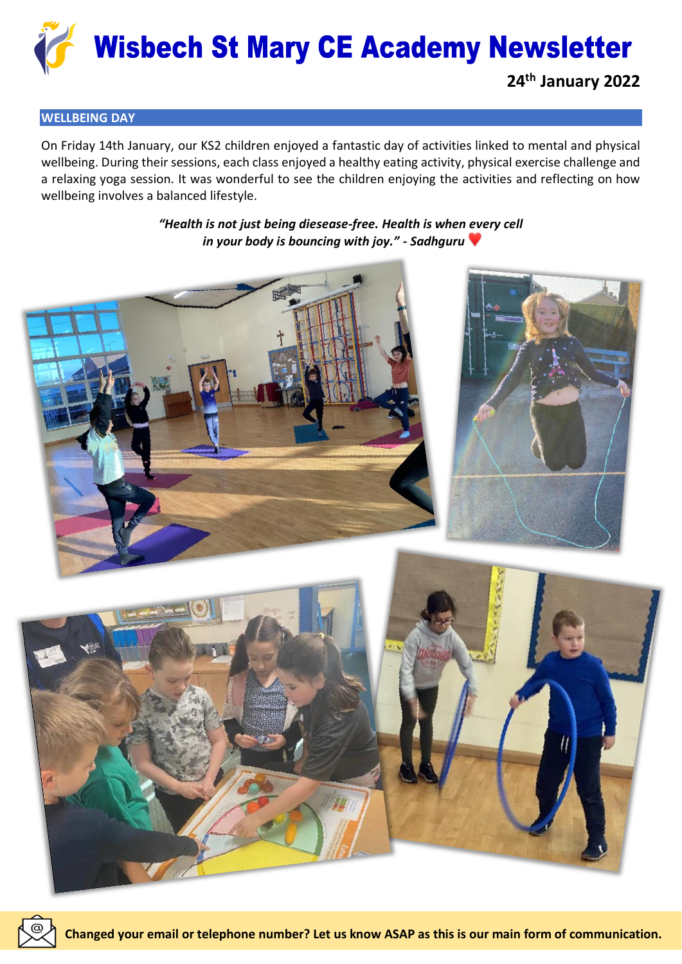

#### **WELLBEING DAY**

On Friday 14th January, our KS2 children enjoyed a fantastic day of activities linked to mental and physical wellbeing. During their sessions, each class enjoyed a healthy eating activity, physical exercise challenge and a relaxing yoga session. It was wonderful to see the children enjoying the activities and reflecting on how wellbeing involves a balanced lifestyle.

> *"Health is not just being diesease-free. Health is when every cell in your body is bouncing with joy." - Sadhguru*

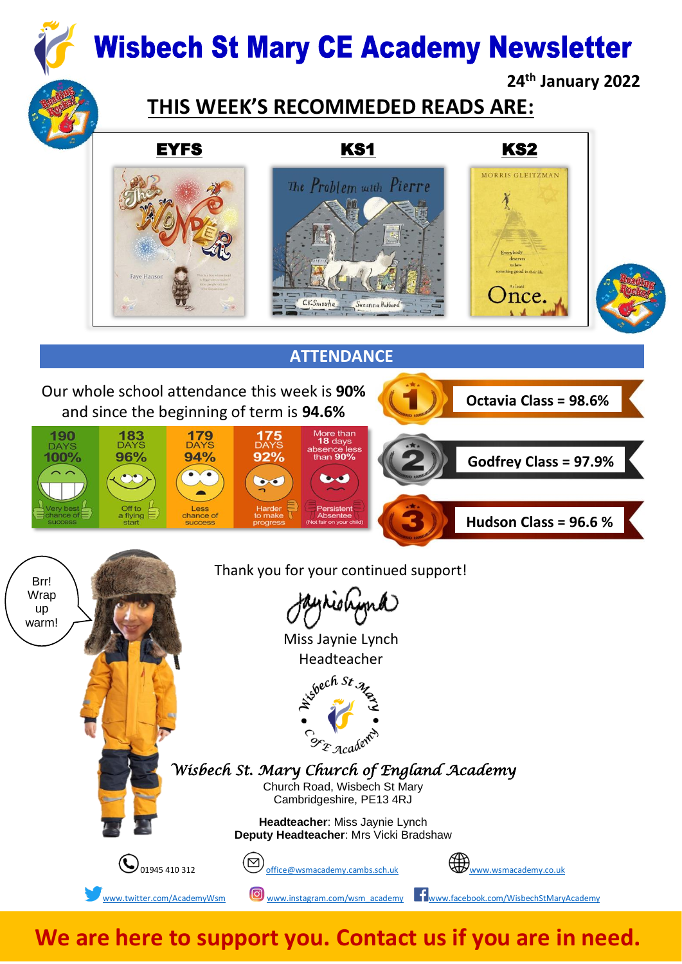

# **THIS WEEK'S RECOMMEDED READS ARE:**



We are here to support you. Contact us if you are in need.

[www.twitter.com/AcademyWsm](http://www.twitter.com/AcademyWsm) **W**ww.instagram.com/wsm\_academy **[www.facebook.com/WisbechStMaryAcademy](http://www.facebook.com/WisbechStMaryAcademy)**